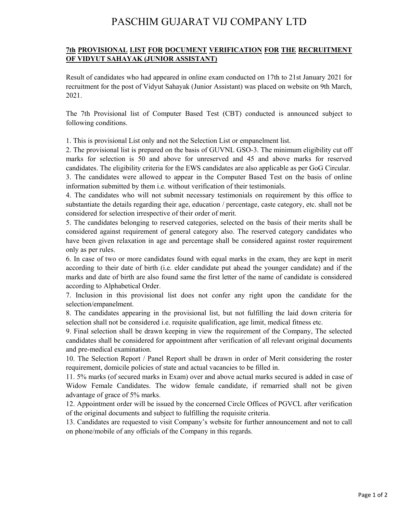## PASCHIM GUJARAT VIJ COMPANY LTD

## **7th PROVISIONAL LIST FOR DOCUMENT VERIFICATION FOR THE RECRUITMENT OF VIDYUT SAHAYAK (JUNIOR ASSISTANT)**

Result of candidates who had appeared in online exam conducted on 17th to 21st January 2021 for recruitment for the post of Vidyut Sahayak (Junior Assistant) was placed on website on 9th March, 2021.

The 7th Provisional list of Computer Based Test (CBT) conducted is announced subject to following conditions.

1. This is provisional List only and not the Selection List or empanelment list.

2. The provisional list is prepared on the basis of GUVNL GSO-3. The minimum eligibility cut off marks for selection is 50 and above for unreserved and 45 and above marks for reserved candidates. The eligibility criteria for the EWS candidates are also applicable as per GoG Circular.

3. The candidates were allowed to appear in the Computer Based Test on the basis of online information submitted by them i.e. without verification of their testimonials.

4. The candidates who will not submit necessary testimonials on requirement by this office to substantiate the details regarding their age, education / percentage, caste category, etc. shall not be considered for selection irrespective of their order of merit.

5. The candidates belonging to reserved categories, selected on the basis of their merits shall be considered against requirement of general category also. The reserved category candidates who have been given relaxation in age and percentage shall be considered against roster requirement only as per rules.

6. In case of two or more candidates found with equal marks in the exam, they are kept in merit according to their date of birth (i.e. elder candidate put ahead the younger candidate) and if the marks and date of birth are also found same the first letter of the name of candidate is considered according to Alphabetical Order.

7. Inclusion in this provisional list does not confer any right upon the candidate for the selection/empanelment.

8. The candidates appearing in the provisional list, but not fulfilling the laid down criteria for selection shall not be considered i.e. requisite qualification, age limit, medical fitness etc.

9. Final selection shall be drawn keeping in view the requirement of the Company, The selected candidates shall be considered for appointment after verification of all relevant original documents and pre-medical examination.

10. The Selection Report / Panel Report shall be drawn in order of Merit considering the roster requirement, domicile policies of state and actual vacancies to be filled in.

11. 5% marks (of secured marks in Exam) over and above actual marks secured is added in case of Widow Female Candidates. The widow female candidate, if remarried shall not be given advantage of grace of 5% marks.

12. Appointment order will be issued by the concerned Circle Offices of PGVCL after verification of the original documents and subject to fulfilling the requisite criteria.

13. Candidates are requested to visit Company's website for further announcement and not to call on phone/mobile of any officials of the Company in this regards.